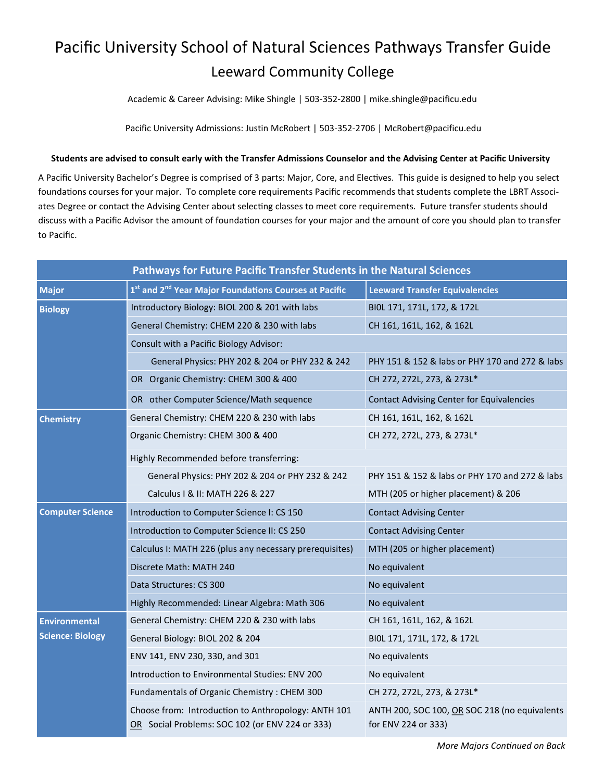## Pacific University School of Natural Sciences Pathways Transfer Guide Leeward Community College

Academic & Career Advising: Mike Shingle | 503-352-2800 | mike.shingle@pacificu.edu

Pacific University Admissions: Justin McRobert | 503-352-2706 | McRobert@pacificu.edu

## **Students are advised to consult early with the Transfer Admissions Counselor and the Advising Center at Pacific University**

A Pacific University Bachelor's Degree is comprised of 3 parts: Major, Core, and Electives. This guide is designed to help you select foundations courses for your major. To complete core requirements Pacific recommends that students complete the LBRT Associates Degree or contact the Advising Center about selecting classes to meet core requirements. Future transfer students should discuss with a Pacific Advisor the amount of foundation courses for your major and the amount of core you should plan to transfer to Pacific.

| Pathways for Future Pacific Transfer Students in the Natural Sciences |                                                                                                        |                                                                      |  |
|-----------------------------------------------------------------------|--------------------------------------------------------------------------------------------------------|----------------------------------------------------------------------|--|
| <b>Major</b>                                                          | 1 <sup>st</sup> and 2 <sup>nd</sup> Year Major Foundations Courses at Pacific                          | <b>Leeward Transfer Equivalencies</b>                                |  |
| <b>Biology</b>                                                        | Introductory Biology: BIOL 200 & 201 with labs                                                         | BIOL 171, 171L, 172, & 172L                                          |  |
|                                                                       | General Chemistry: CHEM 220 & 230 with labs                                                            | CH 161, 161L, 162, & 162L                                            |  |
|                                                                       | Consult with a Pacific Biology Advisor:                                                                |                                                                      |  |
|                                                                       | General Physics: PHY 202 & 204 or PHY 232 & 242                                                        | PHY 151 & 152 & labs or PHY 170 and 272 & labs                       |  |
|                                                                       | OR Organic Chemistry: CHEM 300 & 400                                                                   | CH 272, 272L, 273, & 273L*                                           |  |
|                                                                       | OR other Computer Science/Math sequence                                                                | <b>Contact Advising Center for Equivalencies</b>                     |  |
| <b>Chemistry</b>                                                      | General Chemistry: CHEM 220 & 230 with labs                                                            | CH 161, 161L, 162, & 162L                                            |  |
|                                                                       | Organic Chemistry: CHEM 300 & 400                                                                      | CH 272, 272L, 273, & 273L*                                           |  |
|                                                                       | Highly Recommended before transferring:                                                                |                                                                      |  |
|                                                                       | General Physics: PHY 202 & 204 or PHY 232 & 242                                                        | PHY 151 & 152 & labs or PHY 170 and 272 & labs                       |  |
|                                                                       | Calculus I & II: MATH 226 & 227                                                                        | MTH (205 or higher placement) & 206                                  |  |
| <b>Computer Science</b>                                               | Introduction to Computer Science I: CS 150                                                             | <b>Contact Advising Center</b>                                       |  |
|                                                                       | Introduction to Computer Science II: CS 250                                                            | <b>Contact Advising Center</b>                                       |  |
|                                                                       | Calculus I: MATH 226 (plus any necessary prerequisites)                                                | MTH (205 or higher placement)                                        |  |
|                                                                       | Discrete Math: MATH 240                                                                                | No equivalent                                                        |  |
|                                                                       | Data Structures: CS 300                                                                                | No equivalent                                                        |  |
|                                                                       | Highly Recommended: Linear Algebra: Math 306                                                           | No equivalent                                                        |  |
| <b>Environmental</b>                                                  | General Chemistry: CHEM 220 & 230 with labs                                                            | CH 161, 161L, 162, & 162L                                            |  |
| <b>Science: Biology</b>                                               | General Biology: BIOL 202 & 204                                                                        | BIOL 171, 171L, 172, & 172L                                          |  |
|                                                                       | ENV 141, ENV 230, 330, and 301                                                                         | No equivalents                                                       |  |
|                                                                       | Introduction to Environmental Studies: ENV 200                                                         | No equivalent                                                        |  |
|                                                                       | Fundamentals of Organic Chemistry: CHEM 300                                                            | CH 272, 272L, 273, & 273L*                                           |  |
|                                                                       | Choose from: Introduction to Anthropology: ANTH 101<br>OR Social Problems: SOC 102 (or ENV 224 or 333) | ANTH 200, SOC 100, OR SOC 218 (no equivalents<br>for ENV 224 or 333) |  |

*More Majors Continued on Back*